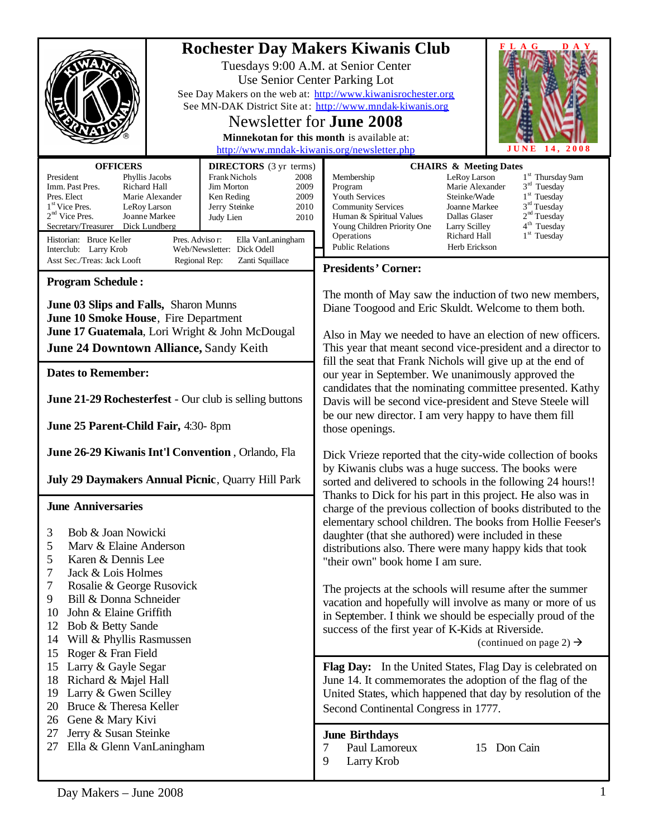|                                                                                                                                                                                                                                                                                                                                                                                                                                                                                        |                                      | F L A G<br>D A Y<br><b>Rochester Day Makers Kiwanis Club</b><br>Tuesdays 9:00 A.M. at Senior Center<br>Use Senior Center Parking Lot<br>See Day Makers on the web at: http://www.kiwanisrochester.org<br>See MN-DAK District Site at: http://www.mndak-kiwanis.org<br>Newsletter for <b>June 2008</b><br>Minnekotan for this month is available at:<br>http://www.mndak-kiwanis.org/newsletter.php<br>2008<br>JUNE<br>14.                                                                                                                                                |
|----------------------------------------------------------------------------------------------------------------------------------------------------------------------------------------------------------------------------------------------------------------------------------------------------------------------------------------------------------------------------------------------------------------------------------------------------------------------------------------|--------------------------------------|--------------------------------------------------------------------------------------------------------------------------------------------------------------------------------------------------------------------------------------------------------------------------------------------------------------------------------------------------------------------------------------------------------------------------------------------------------------------------------------------------------------------------------------------------------------------------|
| <b>OFFICERS</b><br><b>DIRECTORS</b> (3 yr terms)<br>President<br>Phyllis Jacobs<br>Frank Nichols<br>Richard Hall<br>Imm. Past Pres.<br>Jim Morton<br>Pres. Elect<br>Marie Alexander<br>Ken Reding<br>1 <sup>st</sup> Vice Pres.<br>Jerry Steinke<br>LeRoy Larson<br>$2nd$ Vice Pres.<br>Joanne Markee<br>Judy Lien<br>Secretary/Treasurer<br>Dick Lundberg<br>Historian: Bruce Keller<br>Pres. Adviso r:<br>Ella VanLaningham<br>Web/Newsletter: Dick Odell<br>Interclub: Larry Krob   | 2008<br>2009<br>2009<br>2010<br>2010 | <b>CHAIRS &amp; Meeting Dates</b><br>1 <sup>st</sup> Thursday 9am<br>LeRoy Larson<br>Membership<br>$3rd$ Tuesday<br>Marie Alexander<br>Program<br>Youth Services<br>$1st$ Tuesday<br>Steinke/Wade<br>$3rd$ Tuesday<br><b>Community Services</b><br>Joanne Markee<br>2 <sup>nd</sup> Tuesday<br>Human & Spiritual Values<br>Dallas Glaser<br>4 <sup>th</sup> Tuesday<br>Young Children Priority One<br><b>Larry Scilley</b><br>$1st$ Tuesday<br>Operations<br>Richard Hall<br><b>Public Relations</b><br>Herb Erickson                                                    |
| Asst Sec./Treas: Jack Looft<br>Zanti Squillace<br>Regional Rep:                                                                                                                                                                                                                                                                                                                                                                                                                        |                                      | <b>Presidents' Corner:</b>                                                                                                                                                                                                                                                                                                                                                                                                                                                                                                                                               |
| <b>Program Schedule:</b><br>June 03 Slips and Falls, Sharon Munns<br>June 10 Smoke House, Fire Department<br>June 17 Guatemala, Lori Wright & John McDougal<br>June 24 Downtown Alliance, Sandy Keith<br><b>Dates to Remember:</b>                                                                                                                                                                                                                                                     |                                      | The month of May saw the induction of two new members,<br>Diane Toogood and Eric Skuldt. Welcome to them both.<br>Also in May we needed to have an election of new officers.<br>This year that meant second vice-president and a director to<br>fill the seat that Frank Nichols will give up at the end of<br>our year in September. We unanimously approved the<br>candidates that the nominating committee presented. Kathy<br>Davis will be second vice-president and Steve Steele will<br>be our new director. I am very happy to have them fill<br>those openings. |
| June 21-29 Rochesterfest - Our club is selling buttons<br>June 25 Parent-Child Fair, 4:30-8pm                                                                                                                                                                                                                                                                                                                                                                                          |                                      |                                                                                                                                                                                                                                                                                                                                                                                                                                                                                                                                                                          |
| June 26-29 Kiwanis Int'l Convention, Orlando, Fla<br>July 29 Daymakers Annual Picnic, Quarry Hill Park                                                                                                                                                                                                                                                                                                                                                                                 |                                      | Dick Vrieze reported that the city-wide collection of books<br>by Kiwanis clubs was a huge success. The books were<br>sorted and delivered to schools in the following 24 hours!!<br>Thanks to Dick for his part in this project. He also was in                                                                                                                                                                                                                                                                                                                         |
| <b>June Anniversaries</b><br>Bob & Joan Nowicki<br>3<br>5<br>Marv & Elaine Anderson<br>5<br>Karen & Dennis Lee<br>7<br>Jack & Lois Holmes<br>7<br>Rosalie & George Rusovick<br>Bill & Donna Schneider<br>9<br>John & Elaine Griffith<br>10<br>12<br>Bob & Betty Sande<br>14<br>Will & Phyllis Rasmussen<br>Roger & Fran Field<br>15<br>Larry & Gayle Segar<br>15<br>Richard & Majel Hall<br>18<br>19<br>Larry & Gwen Scilley<br>Bruce & Theresa Keller<br>20<br>26<br>Gene & Mary Kivi |                                      | charge of the previous collection of books distributed to the<br>elementary school children. The books from Hollie Feeser's<br>daughter (that she authored) were included in these<br>distributions also. There were many happy kids that took<br>"their own" book home I am sure.                                                                                                                                                                                                                                                                                       |
|                                                                                                                                                                                                                                                                                                                                                                                                                                                                                        |                                      | The projects at the schools will resume after the summer<br>vacation and hopefully will involve as many or more of us<br>in September. I think we should be especially proud of the<br>success of the first year of K-Kids at Riverside.<br>(continued on page 2) $\rightarrow$                                                                                                                                                                                                                                                                                          |
|                                                                                                                                                                                                                                                                                                                                                                                                                                                                                        |                                      | Flag Day: In the United States, Flag Day is celebrated on<br>June 14. It commemorates the adoption of the flag of the<br>United States, which happened that day by resolution of the<br>Second Continental Congress in 1777.                                                                                                                                                                                                                                                                                                                                             |
| Jerry & Susan Steinke<br>27<br>Ella & Glenn VanLaningham<br>27                                                                                                                                                                                                                                                                                                                                                                                                                         |                                      | <b>June Birthdays</b><br>Paul Lamoreux<br>15 Don Cain<br>7<br>9<br>Larry Krob                                                                                                                                                                                                                                                                                                                                                                                                                                                                                            |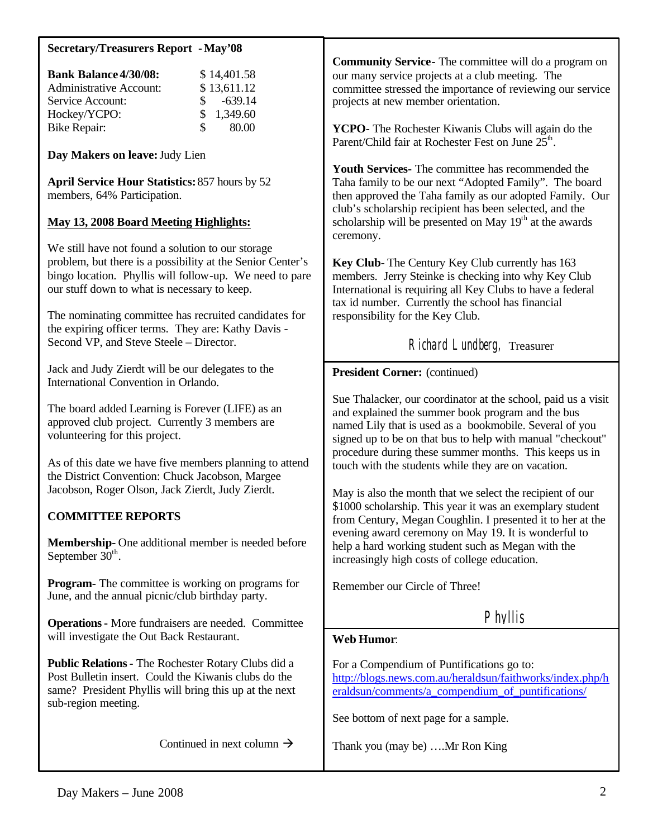| <b>Secretary/Treasurers Report - May'08</b>                                                                                                                                                                                                                                         |                                                                                                                                                                                                                                                                                                                                                                                                                                                                                                                                                      |  |
|-------------------------------------------------------------------------------------------------------------------------------------------------------------------------------------------------------------------------------------------------------------------------------------|------------------------------------------------------------------------------------------------------------------------------------------------------------------------------------------------------------------------------------------------------------------------------------------------------------------------------------------------------------------------------------------------------------------------------------------------------------------------------------------------------------------------------------------------------|--|
| <b>Bank Balance 4/30/08:</b><br>\$14,401.58<br><b>Administrative Account:</b><br>\$13,611.12<br>$-639.14$<br>Service Account:<br>1,349.60<br>Hockey/YCPO:<br>\$<br>80.00<br><b>Bike Repair:</b>                                                                                     | <b>Community Service-</b> The committee will do a program on<br>our many service projects at a club meeting. The<br>committee stressed the importance of reviewing our service<br>projects at new member orientation.<br>YCPO- The Rochester Kiwanis Clubs will again do the<br>Parent/Child fair at Rochester Fest on June 25 <sup>th</sup> .                                                                                                                                                                                                       |  |
| Day Makers on leave: Judy Lien                                                                                                                                                                                                                                                      |                                                                                                                                                                                                                                                                                                                                                                                                                                                                                                                                                      |  |
| <b>April Service Hour Statistics: 857 hours by 52</b><br>members, 64% Participation.<br><b>May 13, 2008 Board Meeting Highlights:</b>                                                                                                                                               | <b>Youth Services-</b> The committee has recommended the<br>Taha family to be our next "Adopted Family". The board<br>then approved the Taha family as our adopted Family. Our<br>club's scholarship recipient has been selected, and the<br>scholarship will be presented on May 19 <sup>th</sup> at the awards<br>ceremony.                                                                                                                                                                                                                        |  |
| We still have not found a solution to our storage<br>problem, but there is a possibility at the Senior Center's<br>bingo location. Phyllis will follow-up. We need to pare<br>our stuff down to what is necessary to keep.<br>The nominating committee has recruited candidates for | Key Club-The Century Key Club currently has 163<br>members. Jerry Steinke is checking into why Key Club<br>International is requiring all Key Clubs to have a federal<br>tax id number. Currently the school has financial<br>responsibility for the Key Club.                                                                                                                                                                                                                                                                                       |  |
| the expiring officer terms. They are: Kathy Davis -<br>Second VP, and Steve Steele - Director.                                                                                                                                                                                      | Richard Lundberg, Treasurer                                                                                                                                                                                                                                                                                                                                                                                                                                                                                                                          |  |
| Jack and Judy Zierdt will be our delegates to the<br>International Convention in Orlando.                                                                                                                                                                                           | <b>President Corner:</b> (continued)                                                                                                                                                                                                                                                                                                                                                                                                                                                                                                                 |  |
| The board added Learning is Forever (LIFE) as an<br>approved club project. Currently 3 members are<br>volunteering for this project.                                                                                                                                                | Sue Thalacker, our coordinator at the school, paid us a visit<br>and explained the summer book program and the bus<br>named Lily that is used as a bookmobile. Several of you<br>signed up to be on that bus to help with manual "checkout"<br>procedure during these summer months. This keeps us in<br>touch with the students while they are on vacation.<br>May is also the month that we select the recipient of our<br>\$1000 scholarship. This year it was an exemplary student<br>from Century, Megan Coughlin. I presented it to her at the |  |
| As of this date we have five members planning to attend<br>the District Convention: Chuck Jacobson, Margee<br>Jacobson, Roger Olson, Jack Zierdt, Judy Zierdt.                                                                                                                      |                                                                                                                                                                                                                                                                                                                                                                                                                                                                                                                                                      |  |
| <b>COMMITTEE REPORTS</b>                                                                                                                                                                                                                                                            |                                                                                                                                                                                                                                                                                                                                                                                                                                                                                                                                                      |  |
| Membership-One additional member is needed before<br>September 30 <sup>th</sup> .                                                                                                                                                                                                   | evening award ceremony on May 19. It is wonderful to<br>help a hard working student such as Megan with the<br>increasingly high costs of college education.                                                                                                                                                                                                                                                                                                                                                                                          |  |
| <b>Program-</b> The committee is working on programs for<br>June, and the annual picnic/club birthday party.                                                                                                                                                                        | Remember our Circle of Three!                                                                                                                                                                                                                                                                                                                                                                                                                                                                                                                        |  |
| <b>Operations - More fundraisers are needed. Committee</b>                                                                                                                                                                                                                          | Phyllis                                                                                                                                                                                                                                                                                                                                                                                                                                                                                                                                              |  |
| will investigate the Out Back Restaurant.                                                                                                                                                                                                                                           | <b>Web Humor:</b>                                                                                                                                                                                                                                                                                                                                                                                                                                                                                                                                    |  |
| <b>Public Relations - The Rochester Rotary Clubs did a</b><br>Post Bulletin insert. Could the Kiwanis clubs do the<br>same? President Phyllis will bring this up at the next<br>sub-region meeting.                                                                                 | For a Compendium of Puntifications go to:<br>http://blogs.news.com.au/heraldsun/faithworks/index.php/h<br>eraldsun/comments/a_compendium_of_puntifications/<br>See bottom of next page for a sample.                                                                                                                                                                                                                                                                                                                                                 |  |
|                                                                                                                                                                                                                                                                                     |                                                                                                                                                                                                                                                                                                                                                                                                                                                                                                                                                      |  |
| Continued in next column $\rightarrow$                                                                                                                                                                                                                                              | Thank you (may be) Mr Ron King                                                                                                                                                                                                                                                                                                                                                                                                                                                                                                                       |  |